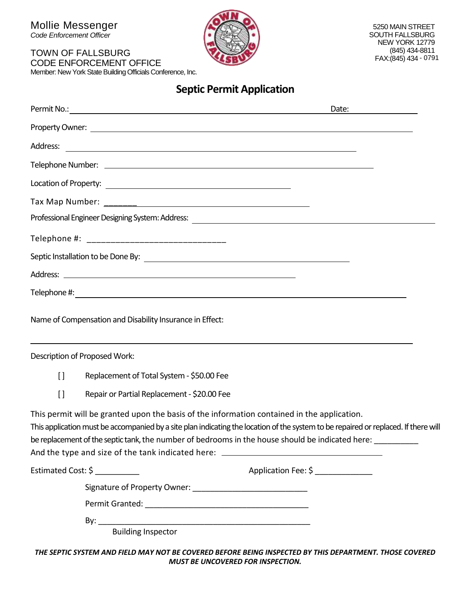Mollie Messenger

*Code Enforcement Officer*

#### TOWN OF FALLSBURG CODE ENFORCEMENT OFFICE

Member: New York State Building Officials Conference, Inc.



## **Septic Permit Application**

|              |                                                                                                                                                                                                                                                                                                                                                                                                                                      | Date:                              |
|--------------|--------------------------------------------------------------------------------------------------------------------------------------------------------------------------------------------------------------------------------------------------------------------------------------------------------------------------------------------------------------------------------------------------------------------------------------|------------------------------------|
|              | Property Owner: <u>New York: All and State and State and State and State and State and State and State and State and State and State and State and State and State and State and State and State and State and State and State a</u>                                                                                                                                                                                                 |                                    |
| Address:     | <u> 1988 - Johann Stoff, deutscher Stoffen und der Stoffen und der Stoffen und der Stoffen und der Stoffen und der Stoffen und der Stoffen und der Stoffen und der Stoffen und der Stoffen und der Stoffen und der Stoffen und d</u>                                                                                                                                                                                                 |                                    |
|              |                                                                                                                                                                                                                                                                                                                                                                                                                                      |                                    |
|              |                                                                                                                                                                                                                                                                                                                                                                                                                                      |                                    |
|              |                                                                                                                                                                                                                                                                                                                                                                                                                                      |                                    |
|              |                                                                                                                                                                                                                                                                                                                                                                                                                                      |                                    |
|              |                                                                                                                                                                                                                                                                                                                                                                                                                                      |                                    |
|              |                                                                                                                                                                                                                                                                                                                                                                                                                                      |                                    |
|              |                                                                                                                                                                                                                                                                                                                                                                                                                                      |                                    |
|              |                                                                                                                                                                                                                                                                                                                                                                                                                                      |                                    |
|              | Name of Compensation and Disability Insurance in Effect:                                                                                                                                                                                                                                                                                                                                                                             |                                    |
|              | Description of Proposed Work:                                                                                                                                                                                                                                                                                                                                                                                                        |                                    |
| $\mathsf{L}$ | Replacement of Total System - \$50.00 Fee                                                                                                                                                                                                                                                                                                                                                                                            |                                    |
| $[ \ ]$      | Repair or Partial Replacement - \$20.00 Fee                                                                                                                                                                                                                                                                                                                                                                                          |                                    |
|              | This permit will be granted upon the basis of the information contained in the application.<br>This application must be accompanied by a site plan indicating the location of the system to be repaired or replaced. If there will<br>be replacement of the septic tank, the number of bedrooms in the house should be indicated here: _________<br>And the type and size of the tank indicated here: ______________________________ |                                    |
|              | Estimated Cost: \$                                                                                                                                                                                                                                                                                                                                                                                                                   | Application Fee: \$ ______________ |
|              |                                                                                                                                                                                                                                                                                                                                                                                                                                      |                                    |
|              |                                                                                                                                                                                                                                                                                                                                                                                                                                      |                                    |
|              | <b>Building Inspector</b>                                                                                                                                                                                                                                                                                                                                                                                                            |                                    |
|              |                                                                                                                                                                                                                                                                                                                                                                                                                                      |                                    |

*THE SEPTIC SYSTEM AND FIELD MAY NOT BE COVERED BEFORE BEING INSPECTED BY THIS DEPARTMENT. THOSE COVERED MUST BE UNCOVERED FOR INSPECTION.*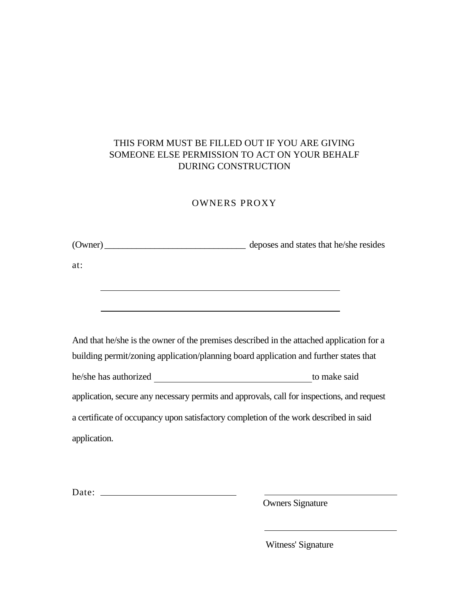### THIS FORM MUST BE FILLED OUT IF YOU ARE GIVING SOMEONE ELSE PERMISSION TO ACT ON YOUR BEHALF DURING CONSTRUCTION

#### OWNERS PROXY

| (Owner) | deposes and states that he/she resides |
|---------|----------------------------------------|
|         |                                        |

at:

And that he/she is the owner of the premises described in the attached application for a building permit/zoning application/planning board application and further states that he/she has authorized to make said application, secure any necessary permits and approvals, call for inspections, and request a certificate of occupancy upon satisfactory completion of the work described in said application.

Date:

Owners Signature

Witness' Signature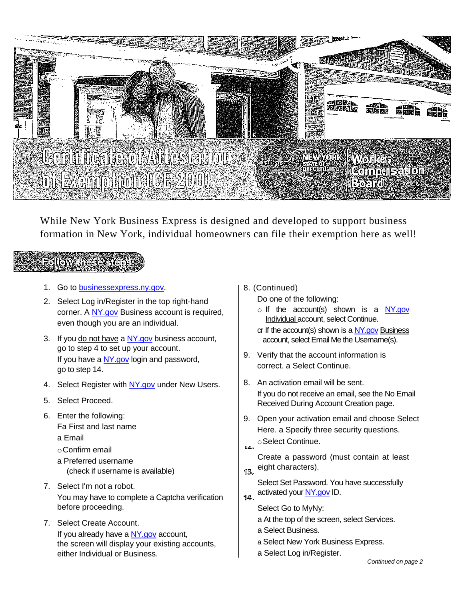

While New York Business Express is designed and developed to support business formation in New York, individual homeowners can file their exemption here as well!

## Followanese.

- 1. Go to [businessexpress.ny.gov.](http://businessexpress.ny.gov/)
- 2. Select Log in/Register in the top right-hand corner. A [NY.gov](http://ny.gov/) Business account is required, even though you are an individual.
- 3. If you do not have a NY gov business account, go to step 4 to set up your account. If you have [a NY.gov](http://ny.gov/) login and password, go to step 14.
- 4. Select Register with [NY.gov](http://ny.gov/) under New Users.
- 5. Select Proceed.
- 6. Enter the following:
	- Fa First and last name
	- a Email
	- oConfirm email
	- a Preferred username (check if username is available)
- 7. Select I'm not a robot. You may have to complete a Captcha verification before proceeding.
- 7. Select Create Account. If you already have [a NY.gov](http://ny.gov/) account, the screen will display your existing accounts, either Individual or Business.
- 8. (Continued)
	- Do one of the following:
	- $\circ$  If the account(s) shown is a [NY.gov](http://ny.gov/) Individual account, select Continue.
	- cr If the account(s) shown is a [NY.gov](http://ny.gov/) Business account, select Email Me the Username(s).
- 9. Verify that the account information is correct. a Select Continue.
- 8. An activation email will be sent. If you do not receive an email, see the No Email Received During Account Creation page.
- 9. Open your activation email and choose Select Here. a Specify three security questions.
- oSelect Continue.  $\overline{14}$
- Create a password (must contain at least eight characters).  $13.$
- Select Set Password. You have successfully activated your [NY.gov](http://ny.gov/) ID.  $14.$ 
	- Select Go to MyNy:
		- a At the top of the screen, select Services.
		- a Select Business.
		- a Select New York Business Express.
		- a Select Log in/Register.

*Continued on page 2*